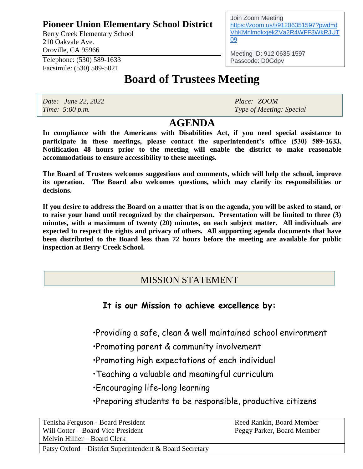### **Pioneer Union Elementary School District**

Berry Creek Elementary School 210 Oakvale Ave. Oroville, CA 95966

Telephone: (530) 589-1633 Facsimile: (530) 589-5021

# **Board of Trustees Meeting**

*Date: June 22, 2022 Place: ZOOM*

*Time: 5:00 p.m. Type of Meeting: Special*

# **AGENDA**

**In compliance with the Americans with Disabilities Act, if you need special assistance to participate in these meetings, please contact the superintendent's office (530) 589-1633. Notification 48 hours prior to the meeting will enable the district to make reasonable accommodations to ensure accessibility to these meetings.**

**The Board of Trustees welcomes suggestions and comments, which will help the school, improve its operation. The Board also welcomes questions, which may clarify its responsibilities or decisions.**

**If you desire to address the Board on a matter that is on the agenda, you will be asked to stand, or to raise your hand until recognized by the chairperson. Presentation will be limited to three (3) minutes, with a maximum of twenty (20) minutes, on each subject matter. All individuals are expected to respect the rights and privacy of others. All supporting agenda documents that have been distributed to the Board less than 72 hours before the meeting are available for public inspection at Berry Creek School.**

## MISSION STATEMENT

#### **It is our Mission to achieve excellence by:**

•Providing a safe, clean & well maintained school environment

- •Promoting parent & community involvement
- •Promoting high expectations of each individual
- •Teaching a valuable and meaningful curriculum
- •Encouraging life-long learning
- •Preparing students to be responsible, productive citizens

| Tenisha Ferguson - Board President                       | Reed Rankin, Board Member  |
|----------------------------------------------------------|----------------------------|
| Will Cotter – Board Vice President                       | Peggy Parker, Board Member |
| Melvin Hillier – Board Clerk                             |                            |
| Patsy Oxford – District Superintendent & Board Secretary |                            |

Join Zoom Meeting [https://zoom.us/j/91206351597?pwd=d](https://www.google.com/url?q=https://zoom.us/j/91206351597?pwd%3DdVhKMnlmdkxjekZVa2R4WFF3WkRJUT09&sa=D&source=calendar&ust=1655922095140642&usg=AOvVaw39CKT6LJlLUki1d9BBZeRC) [VhKMnlmdkxjekZVa2R4WFF3WkRJUT](https://www.google.com/url?q=https://zoom.us/j/91206351597?pwd%3DdVhKMnlmdkxjekZVa2R4WFF3WkRJUT09&sa=D&source=calendar&ust=1655922095140642&usg=AOvVaw39CKT6LJlLUki1d9BBZeRC) [09](https://www.google.com/url?q=https://zoom.us/j/91206351597?pwd%3DdVhKMnlmdkxjekZVa2R4WFF3WkRJUT09&sa=D&source=calendar&ust=1655922095140642&usg=AOvVaw39CKT6LJlLUki1d9BBZeRC)

Meeting ID: 912 0635 1597 Passcode: D0Gdpv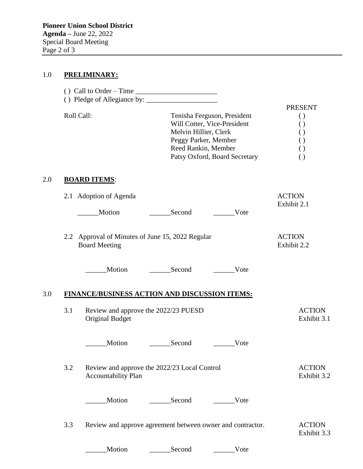#### 1.0 **PRELIMINARY:**

|     |            | () Call to Order – Time $\frac{1}{\sqrt{1-\frac{1}{2}}}\left  \int_{-\infty}^{\infty}$ |                                                                                                                                                                     |      |                                                                                                                                              |  |  |
|-----|------------|----------------------------------------------------------------------------------------|---------------------------------------------------------------------------------------------------------------------------------------------------------------------|------|----------------------------------------------------------------------------------------------------------------------------------------------|--|--|
|     | Roll Call: |                                                                                        | Tenisha Ferguson, President<br>Will Cotter, Vice-President<br>Melvin Hillier, Clerk<br>Peggy Parker, Member<br>Reed Rankin, Member<br>Patsy Oxford, Board Secretary |      | <b>PRESENT</b><br>$\left( \right)$<br>$\left( \ \right)$<br>$\left( \right)$<br>$\left( \ \right)$<br>$\left( \ \right)$<br>$\left( \right)$ |  |  |
| 2.0 |            | <b>BOARD ITEMS:</b>                                                                    |                                                                                                                                                                     |      |                                                                                                                                              |  |  |
|     |            | 2.1 Adoption of Agenda<br>Motion                                                       | Second                                                                                                                                                              | Vote | <b>ACTION</b><br>Exhibit 2.1                                                                                                                 |  |  |
|     |            | 2.2 Approval of Minutes of June 15, 2022 Regular<br><b>Board Meeting</b>               |                                                                                                                                                                     |      | <b>ACTION</b><br>Exhibit 2.2                                                                                                                 |  |  |
|     |            | Motion                                                                                 | Second                                                                                                                                                              | Vote |                                                                                                                                              |  |  |
| 3.0 |            | FINANCE/BUSINESS ACTION AND DISCUSSION ITEMS:                                          |                                                                                                                                                                     |      |                                                                                                                                              |  |  |
|     | 3.1        | Review and approve the 2022/23 PUESD<br><b>Original Budget</b>                         |                                                                                                                                                                     |      | <b>ACTION</b><br>Exhibit 3.1                                                                                                                 |  |  |
|     |            | Motion                                                                                 | Second                                                                                                                                                              | Vote |                                                                                                                                              |  |  |
|     | 3.2        | Review and approve the 2022/23 Local Control<br><b>Accountability Plan</b>             |                                                                                                                                                                     |      | <b>ACTION</b><br>Exhibit 3.2                                                                                                                 |  |  |
|     |            | Motion                                                                                 | Second                                                                                                                                                              | Vote |                                                                                                                                              |  |  |
|     | 3.3        | Review and approve agreement between owner and contractor.                             |                                                                                                                                                                     |      | <b>ACTION</b><br>Exhibit 3.3                                                                                                                 |  |  |
|     |            | Motion                                                                                 | Second                                                                                                                                                              | Vote |                                                                                                                                              |  |  |